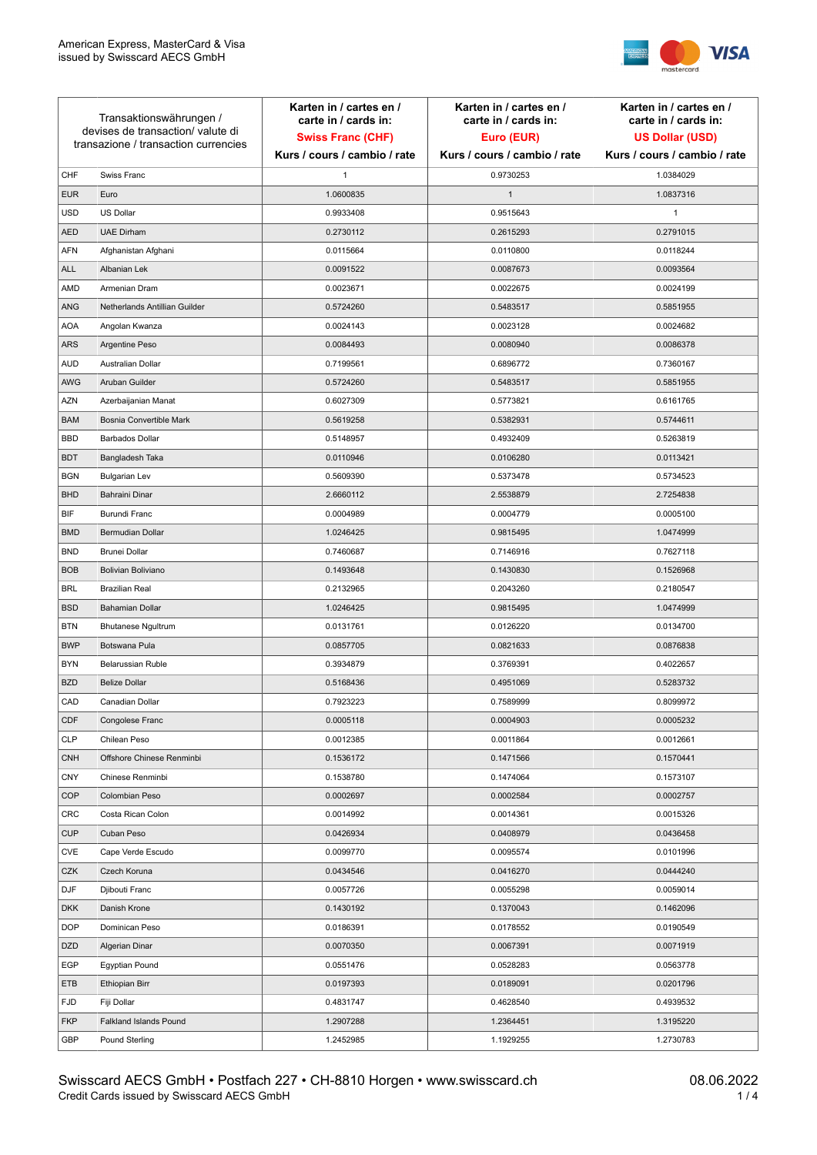

| Transaktionswährungen /<br>devises de transaction/valute di<br>transazione / transaction currencies |                               | Karten in / cartes en /<br>carte in / cards in:<br><b>Swiss Franc (CHF)</b> | Karten in / cartes en /<br>carte in / cards in:<br>Euro (EUR) | Karten in / cartes en /<br>carte in / cards in:<br><b>US Dollar (USD)</b> |
|-----------------------------------------------------------------------------------------------------|-------------------------------|-----------------------------------------------------------------------------|---------------------------------------------------------------|---------------------------------------------------------------------------|
|                                                                                                     |                               | Kurs / cours / cambio / rate                                                | Kurs / cours / cambio / rate                                  | Kurs / cours / cambio / rate                                              |
| CHF                                                                                                 | Swiss Franc                   | 1                                                                           | 0.9730253                                                     | 1.0384029                                                                 |
| <b>EUR</b>                                                                                          | Euro                          | 1.0600835                                                                   | $\mathbf{1}$                                                  | 1.0837316                                                                 |
| <b>USD</b>                                                                                          | <b>US Dollar</b>              | 0.9933408                                                                   | 0.9515643                                                     | $\mathbf{1}$                                                              |
| <b>AED</b>                                                                                          | <b>UAE Dirham</b>             | 0.2730112                                                                   | 0.2615293                                                     | 0.2791015                                                                 |
| <b>AFN</b>                                                                                          | Afghanistan Afghani           | 0.0115664                                                                   | 0.0110800                                                     | 0.0118244                                                                 |
| ALL                                                                                                 | Albanian Lek                  | 0.0091522                                                                   | 0.0087673                                                     | 0.0093564                                                                 |
| AMD                                                                                                 | Armenian Dram                 | 0.0023671                                                                   | 0.0022675                                                     | 0.0024199                                                                 |
| ANG                                                                                                 | Netherlands Antillian Guilder | 0.5724260                                                                   | 0.5483517                                                     | 0.5851955                                                                 |
| <b>AOA</b>                                                                                          | Angolan Kwanza                | 0.0024143                                                                   | 0.0023128                                                     | 0.0024682                                                                 |
| ARS                                                                                                 | Argentine Peso                | 0.0084493                                                                   | 0.0080940                                                     | 0.0086378                                                                 |
| <b>AUD</b>                                                                                          | Australian Dollar             | 0.7199561                                                                   | 0.6896772                                                     | 0.7360167                                                                 |
| AWG                                                                                                 | Aruban Guilder                | 0.5724260                                                                   | 0.5483517                                                     | 0.5851955                                                                 |
| AZN                                                                                                 | Azerbaijanian Manat           | 0.6027309                                                                   | 0.5773821                                                     | 0.6161765                                                                 |
| <b>BAM</b>                                                                                          | Bosnia Convertible Mark       | 0.5619258                                                                   | 0.5382931                                                     | 0.5744611                                                                 |
| <b>BBD</b>                                                                                          | <b>Barbados Dollar</b>        | 0.5148957                                                                   | 0.4932409                                                     | 0.5263819                                                                 |
| <b>BDT</b>                                                                                          | Bangladesh Taka               | 0.0110946                                                                   | 0.0106280                                                     | 0.0113421                                                                 |
| <b>BGN</b>                                                                                          | <b>Bulgarian Lev</b>          | 0.5609390                                                                   | 0.5373478                                                     | 0.5734523                                                                 |
| <b>BHD</b>                                                                                          | Bahraini Dinar                | 2.6660112                                                                   | 2.5538879                                                     | 2.7254838                                                                 |
| BIF                                                                                                 | Burundi Franc                 | 0.0004989                                                                   | 0.0004779                                                     | 0.0005100                                                                 |
| <b>BMD</b>                                                                                          | Bermudian Dollar              | 1.0246425                                                                   | 0.9815495                                                     | 1.0474999                                                                 |
| <b>BND</b>                                                                                          | <b>Brunei Dollar</b>          | 0.7460687                                                                   | 0.7146916                                                     | 0.7627118                                                                 |
| <b>BOB</b>                                                                                          | Bolivian Boliviano            | 0.1493648                                                                   | 0.1430830                                                     | 0.1526968                                                                 |
| <b>BRL</b>                                                                                          | <b>Brazilian Real</b>         | 0.2132965                                                                   | 0.2043260                                                     | 0.2180547                                                                 |
| <b>BSD</b>                                                                                          | <b>Bahamian Dollar</b>        | 1.0246425                                                                   | 0.9815495                                                     | 1.0474999                                                                 |
| <b>BTN</b>                                                                                          | <b>Bhutanese Ngultrum</b>     | 0.0131761                                                                   | 0.0126220                                                     | 0.0134700                                                                 |
| <b>BWP</b>                                                                                          | Botswana Pula                 | 0.0857705                                                                   | 0.0821633                                                     | 0.0876838                                                                 |
| <b>BYN</b>                                                                                          | Belarussian Ruble             | 0.3934879                                                                   | 0.3769391                                                     | 0.4022657                                                                 |
| <b>BZD</b>                                                                                          | <b>Belize Dollar</b>          | 0.5168436                                                                   | 0.4951069                                                     | 0.5283732                                                                 |
| CAD                                                                                                 | Canadian Dollar               | 0.7923223                                                                   | 0.7589999                                                     | 0.8099972                                                                 |
| CDF                                                                                                 | Congolese Franc               | 0.0005118                                                                   | 0.0004903                                                     | 0.0005232                                                                 |
| <b>CLP</b>                                                                                          | Chilean Peso                  | 0.0012385                                                                   | 0.0011864                                                     | 0.0012661                                                                 |
| <b>CNH</b>                                                                                          | Offshore Chinese Renminbi     | 0.1536172                                                                   | 0.1471566                                                     | 0.1570441                                                                 |
| <b>CNY</b>                                                                                          | Chinese Renminbi              | 0.1538780                                                                   | 0.1474064                                                     | 0.1573107                                                                 |
| <b>COP</b>                                                                                          | Colombian Peso                | 0.0002697                                                                   | 0.0002584                                                     | 0.0002757                                                                 |
| CRC                                                                                                 | Costa Rican Colon             | 0.0014992                                                                   | 0.0014361                                                     | 0.0015326                                                                 |
| <b>CUP</b>                                                                                          | Cuban Peso                    | 0.0426934                                                                   | 0.0408979                                                     | 0.0436458                                                                 |
| CVE                                                                                                 | Cape Verde Escudo             | 0.0099770                                                                   | 0.0095574                                                     | 0.0101996                                                                 |
| CZK                                                                                                 | Czech Koruna                  | 0.0434546                                                                   | 0.0416270                                                     | 0.0444240                                                                 |
| <b>DJF</b>                                                                                          | Djibouti Franc                | 0.0057726                                                                   | 0.0055298                                                     | 0.0059014                                                                 |
| <b>DKK</b>                                                                                          | Danish Krone                  | 0.1430192                                                                   | 0.1370043                                                     | 0.1462096                                                                 |
| <b>DOP</b>                                                                                          | Dominican Peso                | 0.0186391                                                                   | 0.0178552                                                     | 0.0190549                                                                 |
| <b>DZD</b>                                                                                          | Algerian Dinar                | 0.0070350                                                                   | 0.0067391                                                     | 0.0071919                                                                 |
| EGP                                                                                                 | Egyptian Pound                | 0.0551476                                                                   | 0.0528283                                                     | 0.0563778                                                                 |
| ETB                                                                                                 | Ethiopian Birr                | 0.0197393                                                                   | 0.0189091                                                     | 0.0201796                                                                 |
| <b>FJD</b>                                                                                          | Fiji Dollar                   | 0.4831747                                                                   | 0.4628540                                                     | 0.4939532                                                                 |
| <b>FKP</b>                                                                                          | Falkland Islands Pound        | 1.2907288                                                                   | 1.2364451                                                     | 1.3195220                                                                 |
| GBP                                                                                                 | Pound Sterling                | 1.2452985                                                                   | 1.1929255                                                     | 1.2730783                                                                 |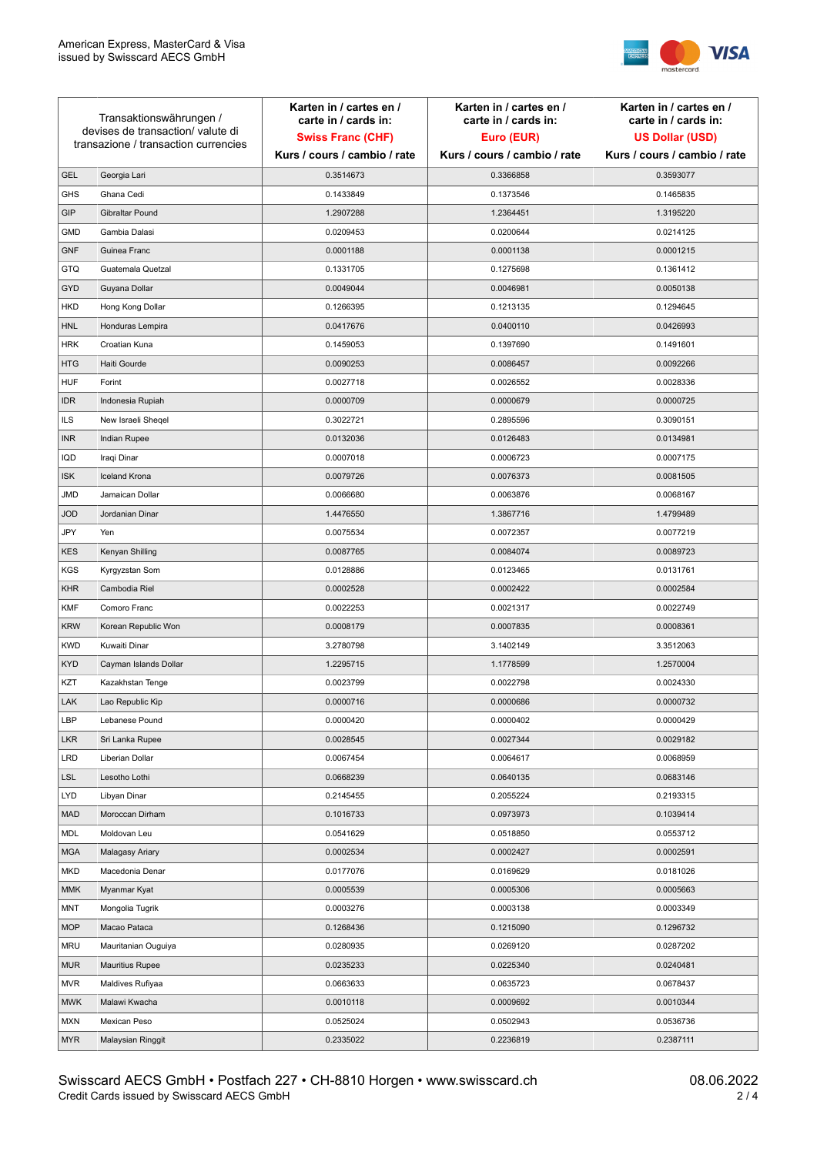

| Transaktionswährungen /<br>devises de transaction/valute di |                                      | Karten in / cartes en /<br>carte in / cards in: | Karten in / cartes en /<br>carte in / cards in: | Karten in / cartes en /<br>carte in / cards in: |
|-------------------------------------------------------------|--------------------------------------|-------------------------------------------------|-------------------------------------------------|-------------------------------------------------|
|                                                             |                                      | <b>Swiss Franc (CHF)</b>                        | Euro (EUR)                                      | <b>US Dollar (USD)</b>                          |
|                                                             | transazione / transaction currencies | Kurs / cours / cambio / rate                    | Kurs / cours / cambio / rate                    | Kurs / cours / cambio / rate                    |
| <b>GEL</b>                                                  | Georgia Lari                         | 0.3514673                                       | 0.3366858                                       | 0.3593077                                       |
| <b>GHS</b>                                                  | Ghana Cedi                           | 0.1433849                                       | 0.1373546                                       | 0.1465835                                       |
| GIP                                                         | Gibraltar Pound                      | 1.2907288                                       | 1.2364451                                       | 1.3195220                                       |
| <b>GMD</b>                                                  | Gambia Dalasi                        | 0.0209453                                       | 0.0200644                                       | 0.0214125                                       |
| <b>GNF</b>                                                  | Guinea Franc                         | 0.0001188                                       | 0.0001138                                       | 0.0001215                                       |
| <b>GTQ</b>                                                  | Guatemala Quetzal                    | 0.1331705                                       | 0.1275698                                       | 0.1361412                                       |
| GYD                                                         | Guyana Dollar                        | 0.0049044                                       | 0.0046981                                       | 0.0050138                                       |
| HKD                                                         | Hong Kong Dollar                     | 0.1266395                                       | 0.1213135                                       | 0.1294645                                       |
| <b>HNL</b>                                                  | Honduras Lempira                     | 0.0417676                                       | 0.0400110                                       | 0.0426993                                       |
| <b>HRK</b>                                                  | Croatian Kuna                        | 0.1459053                                       | 0.1397690                                       | 0.1491601                                       |
| <b>HTG</b>                                                  | Haiti Gourde                         | 0.0090253                                       | 0.0086457                                       | 0.0092266                                       |
| <b>HUF</b>                                                  | Forint                               | 0.0027718                                       | 0.0026552                                       | 0.0028336                                       |
| <b>IDR</b>                                                  | Indonesia Rupiah                     | 0.0000709                                       | 0.0000679                                       | 0.0000725                                       |
| <b>ILS</b>                                                  | New Israeli Sheqel                   | 0.3022721                                       | 0.2895596                                       | 0.3090151                                       |
| <b>INR</b>                                                  | Indian Rupee                         | 0.0132036                                       | 0.0126483                                       | 0.0134981                                       |
| IQD                                                         | Iraqi Dinar                          | 0.0007018                                       | 0.0006723                                       | 0.0007175                                       |
| <b>ISK</b>                                                  | <b>Iceland Krona</b>                 | 0.0079726                                       | 0.0076373                                       | 0.0081505                                       |
| <b>JMD</b>                                                  | Jamaican Dollar                      | 0.0066680                                       | 0.0063876                                       | 0.0068167                                       |
| <b>JOD</b>                                                  | Jordanian Dinar                      | 1.4476550                                       | 1.3867716                                       | 1.4799489                                       |
| JPY                                                         | Yen                                  | 0.0075534                                       | 0.0072357                                       | 0.0077219                                       |
| <b>KES</b>                                                  | Kenyan Shilling                      | 0.0087765                                       | 0.0084074                                       | 0.0089723                                       |
| KGS                                                         | Kyrgyzstan Som                       | 0.0128886                                       | 0.0123465                                       | 0.0131761                                       |
| <b>KHR</b>                                                  | Cambodia Riel                        | 0.0002528                                       | 0.0002422                                       | 0.0002584                                       |
| KMF                                                         | Comoro Franc                         | 0.0022253                                       | 0.0021317                                       | 0.0022749                                       |
| <b>KRW</b>                                                  | Korean Republic Won                  | 0.0008179                                       | 0.0007835                                       | 0.0008361                                       |
| <b>KWD</b>                                                  | Kuwaiti Dinar                        | 3.2780798                                       | 3.1402149                                       | 3.3512063                                       |
| <b>KYD</b>                                                  | Cayman Islands Dollar                | 1.2295715                                       | 1.1778599                                       | 1.2570004                                       |
| KZT                                                         | Kazakhstan Tenge                     | 0.0023799                                       | 0.0022798                                       | 0.0024330                                       |
| LAK                                                         | Lao Republic Kip                     | 0.0000716                                       | 0.0000686                                       | 0.0000732                                       |
| LBP                                                         | Lebanese Pound                       | 0.0000420                                       | 0.0000402                                       | 0.0000429                                       |
| <b>LKR</b>                                                  | Sri Lanka Rupee                      | 0.0028545                                       | 0.0027344                                       | 0.0029182                                       |
| LRD                                                         | Liberian Dollar                      | 0.0067454                                       | 0.0064617                                       | 0.0068959                                       |
| <b>LSL</b>                                                  | Lesotho Lothi                        | 0.0668239                                       | 0.0640135                                       | 0.0683146                                       |
| LYD                                                         | Libyan Dinar                         | 0.2145455                                       | 0.2055224                                       | 0.2193315                                       |
| <b>MAD</b>                                                  | Moroccan Dirham                      | 0.1016733                                       | 0.0973973                                       | 0.1039414                                       |
| MDL                                                         | Moldovan Leu                         | 0.0541629                                       | 0.0518850                                       | 0.0553712                                       |
| <b>MGA</b>                                                  | Malagasy Ariary                      | 0.0002534                                       | 0.0002427                                       | 0.0002591                                       |
| MKD                                                         | Macedonia Denar                      | 0.0177076                                       | 0.0169629                                       | 0.0181026                                       |
| <b>MMK</b>                                                  | Myanmar Kyat                         | 0.0005539                                       | 0.0005306                                       | 0.0005663                                       |
| <b>MNT</b>                                                  | Mongolia Tugrik                      | 0.0003276                                       | 0.0003138                                       | 0.0003349                                       |
| <b>MOP</b>                                                  | Macao Pataca                         | 0.1268436                                       | 0.1215090                                       | 0.1296732                                       |
| <b>MRU</b>                                                  | Mauritanian Ouguiya                  | 0.0280935                                       | 0.0269120                                       | 0.0287202                                       |
| <b>MUR</b>                                                  | <b>Mauritius Rupee</b>               | 0.0235233                                       | 0.0225340                                       | 0.0240481                                       |
| <b>MVR</b>                                                  | Maldives Rufiyaa                     | 0.0663633                                       | 0.0635723                                       | 0.0678437                                       |
| <b>MWK</b>                                                  | Malawi Kwacha                        | 0.0010118                                       | 0.0009692                                       | 0.0010344                                       |
| MXN                                                         | Mexican Peso                         | 0.0525024                                       | 0.0502943                                       | 0.0536736                                       |
| <b>MYR</b>                                                  | Malaysian Ringgit                    | 0.2335022                                       | 0.2236819                                       | 0.2387111                                       |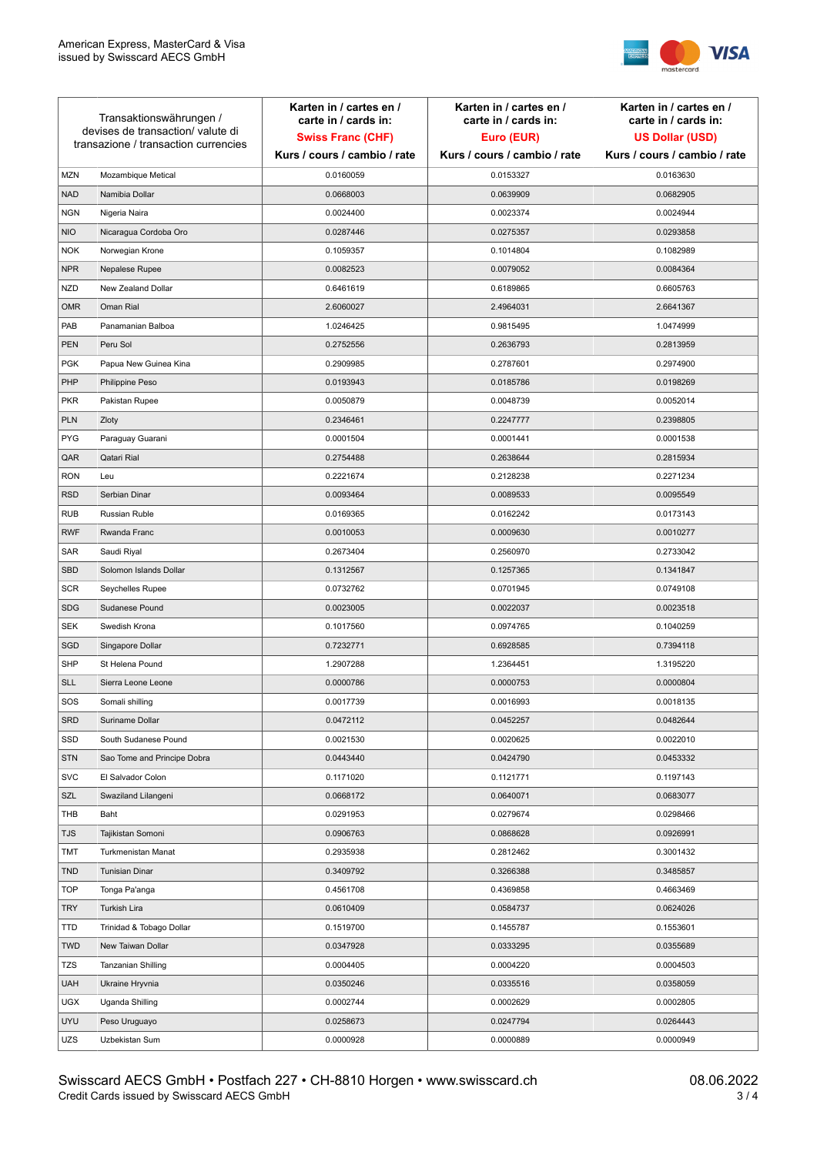

| Transaktionswährungen /<br>devises de transaction/valute di<br>transazione / transaction currencies |                             | Karten in / cartes en /<br>carte in / cards in:<br><b>Swiss Franc (CHF)</b><br>Kurs / cours / cambio / rate | Karten in / cartes en /<br>carte in / cards in:<br>Euro (EUR)<br>Kurs / cours / cambio / rate | Karten in / cartes en /<br>carte in / cards in:<br><b>US Dollar (USD)</b><br>Kurs / cours / cambio / rate |
|-----------------------------------------------------------------------------------------------------|-----------------------------|-------------------------------------------------------------------------------------------------------------|-----------------------------------------------------------------------------------------------|-----------------------------------------------------------------------------------------------------------|
|                                                                                                     |                             |                                                                                                             |                                                                                               |                                                                                                           |
| <b>MZN</b>                                                                                          | Mozambique Metical          | 0.0160059                                                                                                   | 0.0153327                                                                                     | 0.0163630                                                                                                 |
| <b>NAD</b>                                                                                          | Namibia Dollar              | 0.0668003                                                                                                   | 0.0639909                                                                                     | 0.0682905                                                                                                 |
| <b>NGN</b>                                                                                          | Nigeria Naira               | 0.0024400                                                                                                   | 0.0023374                                                                                     | 0.0024944                                                                                                 |
| <b>NIO</b>                                                                                          | Nicaragua Cordoba Oro       | 0.0287446                                                                                                   | 0.0275357                                                                                     | 0.0293858                                                                                                 |
| <b>NOK</b>                                                                                          | Norwegian Krone             | 0.1059357                                                                                                   | 0.1014804                                                                                     | 0.1082989                                                                                                 |
| <b>NPR</b>                                                                                          | Nepalese Rupee              | 0.0082523                                                                                                   | 0.0079052                                                                                     | 0.0084364                                                                                                 |
| <b>NZD</b>                                                                                          | New Zealand Dollar          | 0.6461619                                                                                                   | 0.6189865                                                                                     | 0.6605763                                                                                                 |
| <b>OMR</b>                                                                                          | Oman Rial                   | 2.6060027                                                                                                   | 2.4964031                                                                                     | 2.6641367                                                                                                 |
| PAB                                                                                                 | Panamanian Balboa           | 1.0246425                                                                                                   | 0.9815495                                                                                     | 1.0474999                                                                                                 |
| <b>PEN</b>                                                                                          | Peru Sol                    | 0.2752556                                                                                                   | 0.2636793                                                                                     | 0.2813959                                                                                                 |
| <b>PGK</b>                                                                                          | Papua New Guinea Kina       | 0.2909985                                                                                                   | 0.2787601                                                                                     | 0.2974900                                                                                                 |
| PHP                                                                                                 | Philippine Peso             | 0.0193943                                                                                                   | 0.0185786                                                                                     | 0.0198269                                                                                                 |
| <b>PKR</b>                                                                                          | Pakistan Rupee              | 0.0050879                                                                                                   | 0.0048739                                                                                     | 0.0052014                                                                                                 |
| <b>PLN</b>                                                                                          | Zloty                       | 0.2346461                                                                                                   | 0.2247777                                                                                     | 0.2398805                                                                                                 |
| <b>PYG</b>                                                                                          | Paraguay Guarani            | 0.0001504                                                                                                   | 0.0001441                                                                                     | 0.0001538                                                                                                 |
| QAR                                                                                                 | Qatari Rial                 | 0.2754488                                                                                                   | 0.2638644                                                                                     | 0.2815934                                                                                                 |
| <b>RON</b>                                                                                          | Leu                         | 0.2221674                                                                                                   | 0.2128238                                                                                     | 0.2271234                                                                                                 |
| <b>RSD</b>                                                                                          | Serbian Dinar               | 0.0093464                                                                                                   | 0.0089533                                                                                     | 0.0095549                                                                                                 |
| <b>RUB</b>                                                                                          | Russian Ruble               | 0.0169365                                                                                                   | 0.0162242                                                                                     | 0.0173143                                                                                                 |
| <b>RWF</b>                                                                                          | Rwanda Franc                | 0.0010053                                                                                                   | 0.0009630                                                                                     | 0.0010277                                                                                                 |
| SAR                                                                                                 | Saudi Riyal                 | 0.2673404                                                                                                   | 0.2560970                                                                                     | 0.2733042                                                                                                 |
| <b>SBD</b>                                                                                          | Solomon Islands Dollar      | 0.1312567                                                                                                   | 0.1257365                                                                                     | 0.1341847                                                                                                 |
| <b>SCR</b>                                                                                          | Seychelles Rupee            | 0.0732762                                                                                                   | 0.0701945                                                                                     | 0.0749108                                                                                                 |
| <b>SDG</b>                                                                                          | Sudanese Pound              | 0.0023005                                                                                                   | 0.0022037                                                                                     | 0.0023518                                                                                                 |
| <b>SEK</b>                                                                                          | Swedish Krona               | 0.1017560                                                                                                   | 0.0974765                                                                                     | 0.1040259                                                                                                 |
| SGD                                                                                                 | Singapore Dollar            | 0.7232771                                                                                                   | 0.6928585                                                                                     | 0.7394118                                                                                                 |
| <b>SHP</b>                                                                                          | St Helena Pound             | 1.2907288                                                                                                   | 1.2364451                                                                                     | 1.3195220                                                                                                 |
| <b>SLL</b>                                                                                          | Sierra Leone Leone          | 0.0000786                                                                                                   | 0.0000753                                                                                     | 0.0000804                                                                                                 |
| SOS                                                                                                 | Somali shilling             | 0.0017739                                                                                                   | 0.0016993                                                                                     | 0.0018135                                                                                                 |
| SRD                                                                                                 | Suriname Dollar             | 0.0472112                                                                                                   | 0.0452257                                                                                     | 0.0482644                                                                                                 |
| SSD                                                                                                 | South Sudanese Pound        | 0.0021530                                                                                                   | 0.0020625                                                                                     | 0.0022010                                                                                                 |
| <b>STN</b>                                                                                          | Sao Tome and Principe Dobra | 0.0443440                                                                                                   | 0.0424790                                                                                     | 0.0453332                                                                                                 |
| <b>SVC</b>                                                                                          | El Salvador Colon           | 0.1171020                                                                                                   | 0.1121771                                                                                     | 0.1197143                                                                                                 |
| SZL                                                                                                 | Swaziland Lilangeni         | 0.0668172                                                                                                   | 0.0640071                                                                                     | 0.0683077                                                                                                 |
| THB                                                                                                 | Baht                        | 0.0291953                                                                                                   | 0.0279674                                                                                     | 0.0298466                                                                                                 |
| <b>TJS</b>                                                                                          | Tajikistan Somoni           | 0.0906763                                                                                                   | 0.0868628                                                                                     | 0.0926991                                                                                                 |
| TMT                                                                                                 | Turkmenistan Manat          | 0.2935938                                                                                                   | 0.2812462                                                                                     | 0.3001432                                                                                                 |
| <b>TND</b>                                                                                          | <b>Tunisian Dinar</b>       | 0.3409792                                                                                                   | 0.3266388                                                                                     | 0.3485857                                                                                                 |
| <b>TOP</b>                                                                                          | Tonga Pa'anga               | 0.4561708                                                                                                   | 0.4369858                                                                                     | 0.4663469                                                                                                 |
| <b>TRY</b>                                                                                          | Turkish Lira                | 0.0610409                                                                                                   | 0.0584737                                                                                     | 0.0624026                                                                                                 |
| TTD                                                                                                 | Trinidad & Tobago Dollar    | 0.1519700                                                                                                   | 0.1455787                                                                                     | 0.1553601                                                                                                 |
| <b>TWD</b>                                                                                          | New Taiwan Dollar           | 0.0347928                                                                                                   | 0.0333295                                                                                     | 0.0355689                                                                                                 |
| <b>TZS</b>                                                                                          | Tanzanian Shilling          | 0.0004405                                                                                                   | 0.0004220                                                                                     | 0.0004503                                                                                                 |
| <b>UAH</b>                                                                                          | Ukraine Hryvnia             | 0.0350246                                                                                                   | 0.0335516                                                                                     | 0.0358059                                                                                                 |
| <b>UGX</b>                                                                                          | Uganda Shilling             | 0.0002744                                                                                                   | 0.0002629                                                                                     | 0.0002805                                                                                                 |
| <b>UYU</b>                                                                                          | Peso Uruguayo               | 0.0258673                                                                                                   | 0.0247794                                                                                     | 0.0264443                                                                                                 |
| UZS                                                                                                 | Uzbekistan Sum              | 0.0000928                                                                                                   | 0.0000889                                                                                     | 0.0000949                                                                                                 |